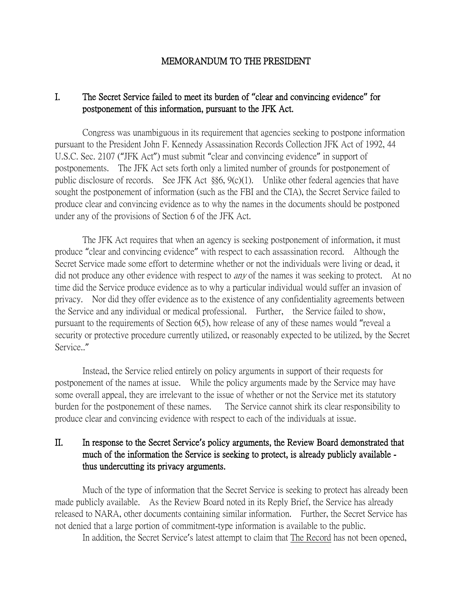#### MEMORANDUM TO THE PRESIDENT

## I. The Secret Service failed to meet its burden of **"**clear and convincing evidence**"** for postponement of this information, pursuant to the JFK Act.

Congress was unambiguous in its requirement that agencies seeking to postpone information pursuant to the President John F. Kennedy Assassination Records Collection JFK Act of 1992, 44 U.S.C. Sec. 2107 ("JFK Act") must submit "clear and convincing evidence" in support of postponements. The JFK Act sets forth only a limited number of grounds for postponement of public disclosure of records. See JFK Act §§6, 9(c)(1). Unlike other federal agencies that have sought the postponement of information (such as the FBI and the CIA), the Secret Service failed to produce clear and convincing evidence as to why the names in the documents should be postponed under any of the provisions of Section 6 of the JFK Act.

The JFK Act requires that when an agency is seeking postponement of information, it must produce "clear and convincing evidence" with respect to each assassination record. Although the Secret Service made some effort to determine whether or not the individuals were living or dead, it did not produce any other evidence with respect to *any* of the names it was seeking to protect. At no time did the Service produce evidence as to why a particular individual would suffer an invasion of privacy. Nor did they offer evidence as to the existence of any confidentiality agreements between the Service and any individual or medical professional. Further, the Service failed to show, pursuant to the requirements of Section 6(5), how release of any of these names would "reveal a security or protective procedure currently utilized, or reasonably expected to be utilized, by the Secret Service.."

Instead, the Service relied entirely on policy arguments in support of their requests for postponement of the names at issue. While the policy arguments made by the Service may have some overall appeal, they are irrelevant to the issue of whether or not the Service met its statutory burden for the postponement of these names. The Service cannot shirk its clear responsibility to produce clear and convincing evidence with respect to each of the individuals at issue.

## II. In response to the Secret Service**'**s policy arguments, the Review Board demonstrated that much of the information the Service is seeking to protect, is already publicly available thus undercutting its privacy arguments.

Much of the type of information that the Secret Service is seeking to protect has already been made publicly available. As the Review Board noted in its Reply Brief, the Service has already released to NARA, other documents containing similar information. Further, the Secret Service has not denied that a large portion of commitment-type information is available to the public.

In addition, the Secret Service's latest attempt to claim that The Record has not been opened,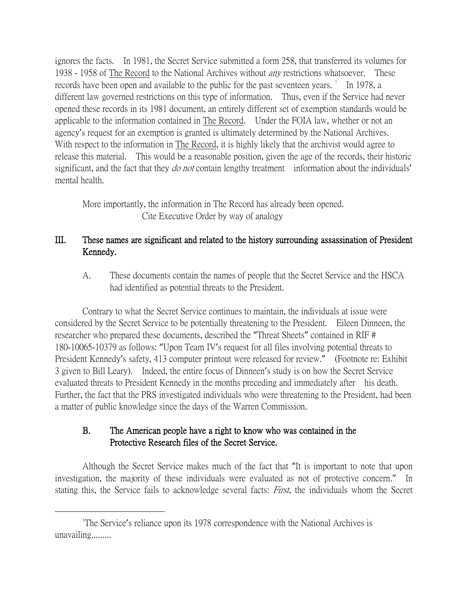ignores the facts. In 1981, the Secret Service submitted a form 258, that transferred its volumes for 1938 - 1958 of The Record to the National Archives without *any* restrictions whatsoever. These records have been open and available to the public for the past seventeen years.  $\frac{1}{1}$  $\frac{1}{1}$  $\frac{1}{1}$  In 1978, a different law governed restrictions on this type of information. Thus, even if the Service had never opened these records in its 1981 document, an entirely different set of exemption standards would be applicable to the information contained in The Record. Under the FOIA law, whether or not an agency's request for an exemption is granted is ultimately determined by the National Archives. With respect to the information in The Record, it is highly likely that the archivist would agree to release this material. This would be a reasonable position, given the age of the records, their historic significant, and the fact that they *do not* contain lengthy treatment information about the individuals' mental health.

More importantly, the information in The Record has already been opened. Cite Executive Order by way of analogy

# III. These names are significant and related to the history surrounding assassination of President Kennedy.

A. These documents contain the names of people that the Secret Service and the HSCA had identified as potential threats to the President.

Contrary to what the Secret Service continues to maintain, the individuals at issue were considered by the Secret Service to be potentially threatening to the President. Eileen Dinneen, the researcher who prepared these documents, described the "Threat Sheets" contained in RIF # 180-10065-10379 as follows: "Upon Team IV's request for all files involving potential threats to President Kennedy's safety, 413 computer printout were released for review." (Footnote re: Exhibit 3 given to Bill Leary). Indeed, the entire focus of Dinneen's study is on how the Secret Service evaluated threats to President Kennedy in the months preceding and immediately after his death. Further, the fact that the PRS investigated individuals who were threatening to the President, had been a matter of public knowledge since the days of the Warren Commission.

# B. The American people have a right to know who was contained in the Protective Research files of the Secret Service.

Although the Secret Service makes much of the fact that "It is important to note that upon investigation, the majority of these individuals were evaluated as not of protective concern." In stating this, the Service fails to acknowledge several facts: *First*, the individuals whom the Secret

<span id="page-1-0"></span> $\overline{\phantom{a}}$ The Service's reliance upon its 1978 correspondence with the National Archives is unavailing.........